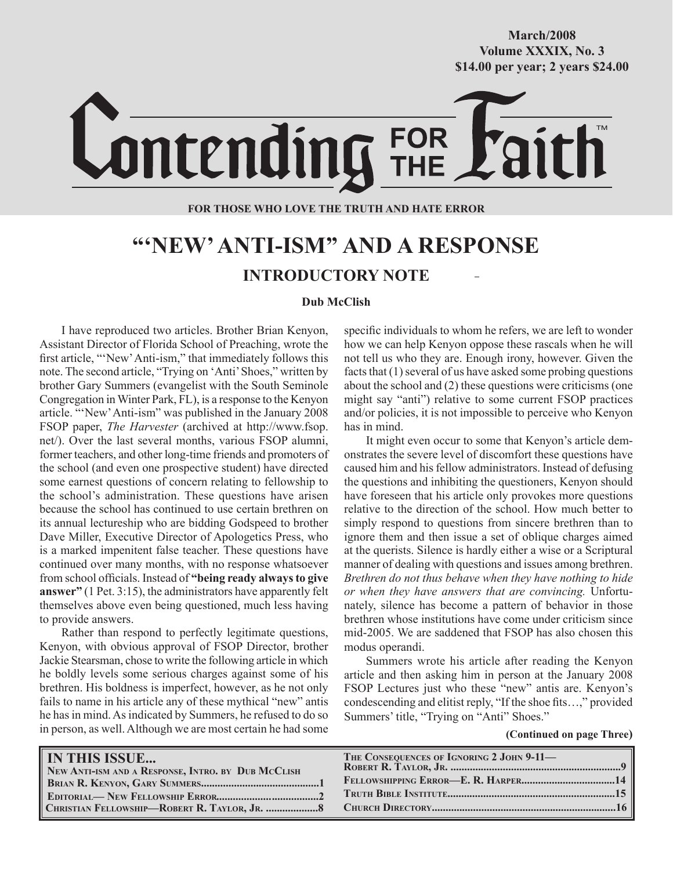#### **October/2007 Volume XXXIX, No. 3 Volume XXXVIII, No. 10 \$14.00 per year; 2 years \$24.00 \$14.00 per year; 2 years \$24.00 March/2008**

# ontending FOR<br>THE

#### **FOR THOSE WHO LOVE THE TRUTH AND HATE ERROR**

# **"'NEW' ANTI-ISM" AND A RESPONSE INTRODUCTORY NOTE**

#### **Dub McClish**

I have reproduced two articles. Brother Brian Kenyon, Assistant Director of Florida School of Preaching, wrote the first article, "'New' Anti-ism," that immediately follows this note. The second article, "Trying on 'Anti' Shoes," written by brother Gary Summers (evangelist with the South Seminole Congregation in Winter Park, FL), is a response to the Kenyon article. "'New' Anti-ism" was published in the January 2008 FSOP paper, *The Harvester* (archived at http://www.fsop. net/). Over the last several months, various FSOP alumni, former teachers, and other long-time friends and promoters of the school (and even one prospective student) have directed some earnest questions of concern relating to fellowship to the school's administration. These questions have arisen because the school has continued to use certain brethren on its annual lectureship who are bidding Godspeed to brother Dave Miller, Executive Director of Apologetics Press, who is a marked impenitent false teacher. These questions have continued over many months, with no response whatsoever from school officials. Instead of **"being ready always to give answer"** (1 Pet. 3:15), the administrators have apparently felt themselves above even being questioned, much less having to provide answers.

Rather than respond to perfectly legitimate questions, Kenyon, with obvious approval of FSOP Director, brother Jackie Stearsman, chose to write the following article in which he boldly levels some serious charges against some of his brethren. His boldness is imperfect, however, as he not only fails to name in his article any of these mythical "new" antis he has in mind. As indicated by Summers, he refused to do so in person, as well. Although we are most certain he had some specific individuals to whom he refers, we are left to wonder how we can help Kenyon oppose these rascals when he will not tell us who they are. Enough irony, however. Given the facts that (1) several of us have asked some probing questions about the school and (2) these questions were criticisms (one might say "anti") relative to some current FSOP practices and/or policies, it is not impossible to perceive who Kenyon has in mind.

It might even occur to some that Kenyon's article demonstrates the severe level of discomfort these questions have caused him and his fellow administrators. Instead of defusing the questions and inhibiting the questioners, Kenyon should have foreseen that his article only provokes more questions relative to the direction of the school. How much better to simply respond to questions from sincere brethren than to ignore them and then issue a set of oblique charges aimed at the querists. Silence is hardly either a wise or a Scriptural manner of dealing with questions and issues among brethren. *Brethren do not thus behave when they have nothing to hide or when they have answers that are convincing.* Unfortunately, silence has become a pattern of behavior in those brethren whose institutions have come under criticism since mid-2005. We are saddened that FSOP has also chosen this modus operandi.

Summers wrote his article after reading the Kenyon article and then asking him in person at the January 2008 FSOP Lectures just who these "new" antis are. Kenyon's condescending and elitist reply, "If the shoe fits…," provided Summers' title, "Trying on "Anti" Shoes."

 **(Continued on page Three)**

| <b>IN THIS ISSUE</b>                               | THE CONSEQUENCES OF IGNORING 2 JOHN 9-11- |
|----------------------------------------------------|-------------------------------------------|
| NEW ANTI-ISM AND A RESPONSE, INTRO. BY DUB MCCLISH |                                           |
|                                                    |                                           |
|                                                    |                                           |
|                                                    |                                           |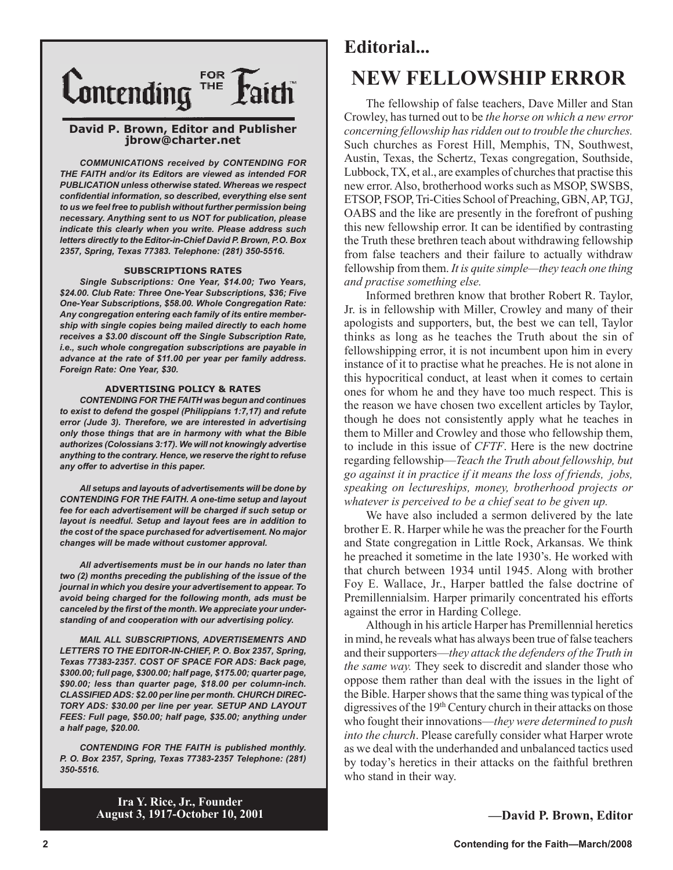

#### **David P. Brown, Editor and Publisher jbrow@charter.net**

*COMMUNICATIONS received by CONTENDING FOR THE FAITH and/or its Editors are viewed as intended FOR PUBLICATION unless otherwise stated. Whereas we respect confidential information, so described, everything else sent to us we feel free to publish without further permission being necessary. Anything sent to us NOT for publication, please indicate this clearly when you write. Please address such letters directly to the Editor-in-Chief David P. Brown, P.O. Box 2357, Spring, Texas 77383. Telephone: (281) 350-5516.*

#### **SUBSCRIPTIONS RATES**

*Single Subscriptions: One Year, \$14.00; Two Years, \$24.00. Club Rate: Three One-Year Subscriptions, \$36; Five One-Year Subscriptions, \$58.00. Whole Congregation Rate: Any congregation entering each family of its entire membership with single copies being mailed directly to each home receives a \$3.00 discount off the Single Subscription Rate, i.e., such whole congregation subscriptions are payable in advance at the rate of \$11.00 per year per family address. Foreign Rate: One Year, \$30.*

#### **ADVERTISING POLICY & RATES**

*CONTENDING FOR THE FAITH was begun and continues to exist to defend the gospel (Philippians 1:7,17) and refute error (Jude 3). Therefore, we are interested in advertising only those things that are in harmony with what the Bible authorizes (Colossians 3:17). We will not knowingly advertise anything to the contrary. Hence, we reserve the right to refuse any offer to advertise in this paper.*

*All setups and layouts of advertisements will be done by CONTENDING FOR THE FAITH. A one-time setup and layout fee for each advertisement will be charged if such setup or layout is needful. Setup and layout fees are in addition to the cost of the space purchased for advertisement. No major changes will be made without customer approval.*

*All advertisements must be in our hands no later than two (2) months preceding the publishing of the issue of the journal in which you desire your advertisement to appear. To avoid being charged for the following month, ads must be canceled by the first of the month. We appreciate your understanding of and cooperation with our advertising policy.*

*MAIL ALL SUBSCRIPTIONS, ADVERTISEMENTS AND LETTERS TO THE EDITOR-IN-CHIEF, P. O. Box 2357, Spring, Texas 77383-2357. COST OF SPACE FOR ADS: Back page, \$300.00; full page, \$300.00; half page, \$175.00; quarter page, \$90.00; less than quarter page, \$18.00 per column-inch. CLASSIFIED ADS: \$2.00 per line per month. CHURCH DIREC-TORY ADS: \$30.00 per line per year. SETUP AND LAYOUT FEES: Full page, \$50.00; half page, \$35.00; anything under a half page, \$20.00.*

*CONTENDING FOR THE FAITH is published monthly. P. O. Box 2357, Spring, Texas 77383-2357 Telephone: (281) 350-5516.*

# **NEW FELLOWSHIP ERROR Editorial...**

The fellowship of false teachers, Dave Miller and Stan Crowley, has turned out to be *the horse on which a new error concerning fellowship has ridden out to trouble the churches.* Such churches as Forest Hill, Memphis, TN, Southwest, Austin, Texas, the Schertz, Texas congregation, Southside, Lubbock, TX, et al., are examples of churches that practise this new error. Also, brotherhood works such as MSOP, SWSBS, ETSOP, FSOP, Tri-Cities School of Preaching, GBN, AP, TGJ, OABS and the like are presently in the forefront of pushing this new fellowship error. It can be identified by contrasting the Truth these brethren teach about withdrawing fellowship from false teachers and their failure to actually withdraw fellowship from them. *It is quite simple—they teach one thing and practise something else.*

Informed brethren know that brother Robert R. Taylor, Jr. is in fellowship with Miller, Crowley and many of their apologists and supporters, but, the best we can tell, Taylor thinks as long as he teaches the Truth about the sin of fellowshipping error, it is not incumbent upon him in every instance of it to practise what he preaches. He is not alone in this hypocritical conduct, at least when it comes to certain ones for whom he and they have too much respect. This is the reason we have chosen two excellent articles by Taylor, though he does not consistently apply what he teaches in them to Miller and Crowley and those who fellowship them, to include in this issue of *CFTF*. Here is the new doctrine regarding fellowship—*Teach the Truth about fellowship, but go against it in practice if it means the loss of friends, jobs, speaking on lectureships, money, brotherhood projects or whatever is perceived to be a chief seat to be given up.*

We have also included a sermon delivered by the late brother E. R. Harper while he was the preacher for the Fourth and State congregation in Little Rock, Arkansas. We think he preached it sometime in the late 1930's. He worked with that church between 1934 until 1945. Along with brother Foy E. Wallace, Jr., Harper battled the false doctrine of Premillennialsim. Harper primarily concentrated his efforts against the error in Harding College.

Although in his article Harper has Premillennial heretics in mind, he reveals what has always been true of false teachers and their supporters—*they attack the defenders of the Truth in the same way.* They seek to discredit and slander those who oppose them rather than deal with the issues in the light of the Bible. Harper shows that the same thing was typical of the digressives of the 19<sup>th</sup> Century church in their attacks on those who fought their innovations—*they were determined to push into the church*. Please carefully consider what Harper wrote as we deal with the underhanded and unbalanced tactics used by today's heretics in their attacks on the faithful brethren who stand in their way.

**Ira Y. Rice, Jr., Founder August 3, 1917-October 10, 2001**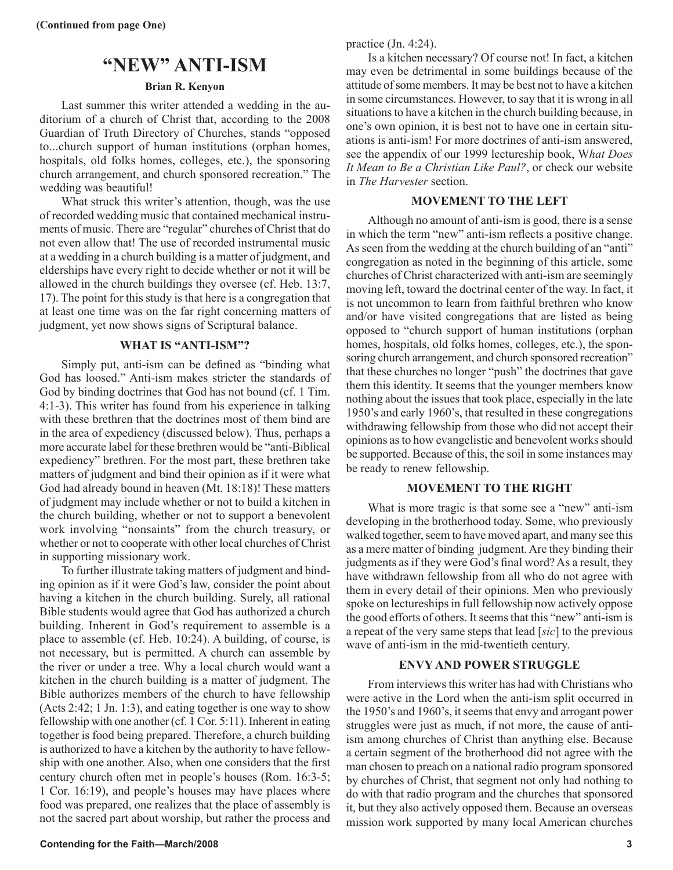### **"NEW" ANTI-ISM**

#### **Brian R. Kenyon**

Last summer this writer attended a wedding in the auditorium of a church of Christ that, according to the 2008 Guardian of Truth Directory of Churches, stands "opposed to...church support of human institutions (orphan homes, hospitals, old folks homes, colleges, etc.), the sponsoring church arrangement, and church sponsored recreation." The wedding was beautiful!

What struck this writer's attention, though, was the use of recorded wedding music that contained mechanical instruments of music. There are "regular" churches of Christ that do not even allow that! The use of recorded instrumental music at a wedding in a church building is a matter of judgment, and elderships have every right to decide whether or not it will be allowed in the church buildings they oversee (cf. Heb. 13:7, 17). The point for this study is that here is a congregation that at least one time was on the far right concerning matters of judgment, yet now shows signs of Scriptural balance.

#### **WHAT IS "ANTI-ISM"?**

Simply put, anti-ism can be defined as "binding what God has loosed." Anti-ism makes stricter the standards of God by binding doctrines that God has not bound (cf. 1 Tim. 4:1-3). This writer has found from his experience in talking with these brethren that the doctrines most of them bind are in the area of expediency (discussed below). Thus, perhaps a more accurate label for these brethren would be "anti-Biblical expediency" brethren. For the most part, these brethren take matters of judgment and bind their opinion as if it were what God had already bound in heaven (Mt. 18:18)! These matters of judgment may include whether or not to build a kitchen in the church building, whether or not to support a benevolent work involving "nonsaints" from the church treasury, or whether or not to cooperate with other local churches of Christ in supporting missionary work.

To further illustrate taking matters of judgment and binding opinion as if it were God's law, consider the point about having a kitchen in the church building. Surely, all rational Bible students would agree that God has authorized a church building. Inherent in God's requirement to assemble is a place to assemble (cf. Heb. 10:24). A building, of course, is not necessary, but is permitted. A church can assemble by the river or under a tree. Why a local church would want a kitchen in the church building is a matter of judgment. The Bible authorizes members of the church to have fellowship (Acts 2:42; 1 Jn. 1:3), and eating together is one way to show fellowship with one another (cf. 1 Cor. 5:11). Inherent in eating together is food being prepared. Therefore, a church building is authorized to have a kitchen by the authority to have fellowship with one another. Also, when one considers that the first century church often met in people's houses (Rom. 16:3-5; 1 Cor. 16:19), and people's houses may have places where food was prepared, one realizes that the place of assembly is not the sacred part about worship, but rather the process and

practice (Jn. 4:24).

Is a kitchen necessary? Of course not! In fact, a kitchen may even be detrimental in some buildings because of the attitude of some members. It may be best not to have a kitchen in some circumstances. However, to say that it is wrong in all situations to have a kitchen in the church building because, in one's own opinion, it is best not to have one in certain situations is anti-ism! For more doctrines of anti-ism answered, see the appendix of our 1999 lectureship book, W*hat Does It Mean to Be a Christian Like Paul?*, or check our website in *The Harvester* section.

#### **MOVEMENT TO THE LEFT**

Although no amount of anti-ism is good, there is a sense in which the term "new" anti-ism reflects a positive change. As seen from the wedding at the church building of an "anti" congregation as noted in the beginning of this article, some churches of Christ characterized with anti-ism are seemingly moving left, toward the doctrinal center of the way. In fact, it is not uncommon to learn from faithful brethren who know and/or have visited congregations that are listed as being opposed to "church support of human institutions (orphan homes, hospitals, old folks homes, colleges, etc.), the sponsoring church arrangement, and church sponsored recreation" that these churches no longer "push" the doctrines that gave them this identity. It seems that the younger members know nothing about the issues that took place, especially in the late 1950's and early 1960's, that resulted in these congregations withdrawing fellowship from those who did not accept their opinions as to how evangelistic and benevolent works should be supported. Because of this, the soil in some instances may be ready to renew fellowship.

#### **MOVEMENT TO THE RIGHT**

What is more tragic is that some see a "new" anti-ism developing in the brotherhood today. Some, who previously walked together, seem to have moved apart, and many see this as a mere matter of binding judgment. Are they binding their judgments as if they were God's final word? As a result, they have withdrawn fellowship from all who do not agree with them in every detail of their opinions. Men who previously spoke on lectureships in full fellowship now actively oppose the good efforts of others. It seems that this "new" anti-ism is a repeat of the very same steps that lead [*sic*] to the previous wave of anti-ism in the mid-twentieth century.

#### **ENVY AND POWER STRUGGLE**

From interviews this writer has had with Christians who were active in the Lord when the anti-ism split occurred in the 1950's and 1960's, it seems that envy and arrogant power struggles were just as much, if not more, the cause of antiism among churches of Christ than anything else. Because a certain segment of the brotherhood did not agree with the man chosen to preach on a national radio program sponsored by churches of Christ, that segment not only had nothing to do with that radio program and the churches that sponsored it, but they also actively opposed them. Because an overseas mission work supported by many local American churches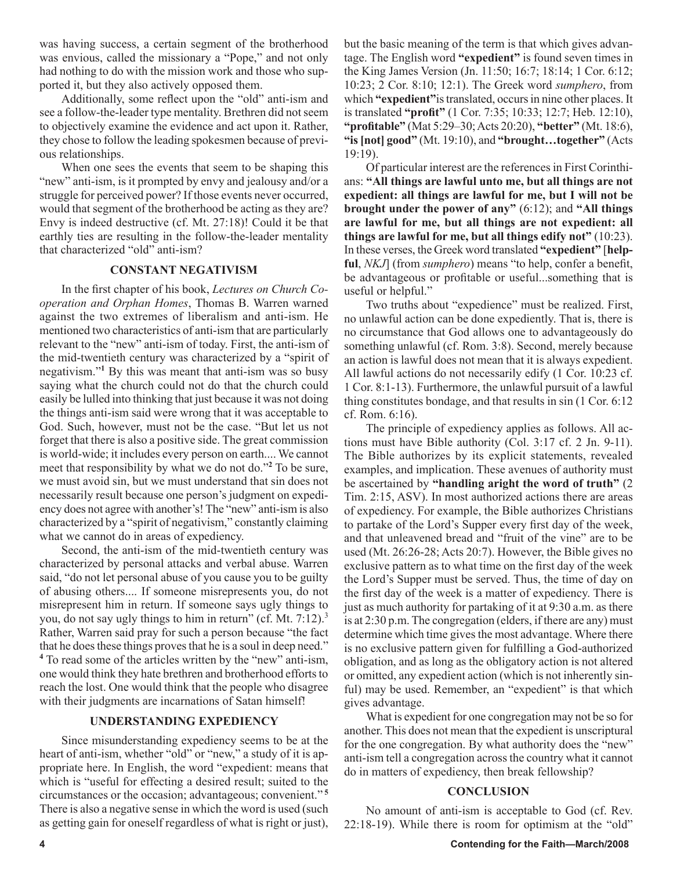was having success, a certain segment of the brotherhood was envious, called the missionary a "Pope," and not only had nothing to do with the mission work and those who supported it, but they also actively opposed them.

Additionally, some reflect upon the "old" anti-ism and see a follow-the-leader type mentality. Brethren did not seem to objectively examine the evidence and act upon it. Rather, they chose to follow the leading spokesmen because of previous relationships.

When one sees the events that seem to be shaping this "new" anti-ism, is it prompted by envy and jealousy and/or a struggle for perceived power? If those events never occurred, would that segment of the brotherhood be acting as they are? Envy is indeed destructive (cf. Mt. 27:18)! Could it be that earthly ties are resulting in the follow-the-leader mentality that characterized "old" anti-ism?

#### **CONSTANT NEGATIVISM**

In the first chapter of his book, *Lectures on Church Cooperation and Orphan Homes*, Thomas B. Warren warned against the two extremes of liberalism and anti-ism. He mentioned two characteristics of anti-ism that are particularly relevant to the "new" anti-ism of today. First, the anti-ism of the mid-twentieth century was characterized by a "spirit of negativism."**<sup>1</sup>** By this was meant that anti-ism was so busy saying what the church could not do that the church could easily be lulled into thinking that just because it was not doing the things anti-ism said were wrong that it was acceptable to God. Such, however, must not be the case. "But let us not forget that there is also a positive side. The great commission is world-wide; it includes every person on earth.... We cannot meet that responsibility by what we do not do."**<sup>2</sup>** To be sure, we must avoid sin, but we must understand that sin does not necessarily result because one person's judgment on expediency does not agree with another's! The "new" anti-ism is also characterized by a "spirit of negativism," constantly claiming what we cannot do in areas of expediency.

Second, the anti-ism of the mid-twentieth century was characterized by personal attacks and verbal abuse. Warren said, "do not let personal abuse of you cause you to be guilty of abusing others.... If someone misrepresents you, do not misrepresent him in return. If someone says ugly things to you, do not say ugly things to him in return" (cf. Mt. 7:12).<sup>3</sup> Rather, Warren said pray for such a person because "the fact that he does these things proves that he is a soul in deep need." **4** To read some of the articles written by the "new" anti-ism, one would think they hate brethren and brotherhood efforts to reach the lost. One would think that the people who disagree with their judgments are incarnations of Satan himself!

#### **UNDERSTANDING EXPEDIENCY**

Since misunderstanding expediency seems to be at the heart of anti-ism, whether "old" or "new," a study of it is appropriate here. In English, the word "expedient: means that which is "useful for effecting a desired result; suited to the circumstances or the occasion; advantageous; convenient." **<sup>5</sup>** There is also a negative sense in which the word is used (such as getting gain for oneself regardless of what is right or just), but the basic meaning of the term is that which gives advantage. The English word **"expedient"** is found seven times in the King James Version (Jn. 11:50; 16:7; 18:14; 1 Cor. 6:12; 10:23; 2 Cor. 8:10; 12:1). The Greek word *sumphero*, from which **"expedient"**is translated, occurs in nine other places. It is translated **"profit"** (1 Cor. 7:35; 10:33; 12:7; Heb. 12:10), **"profitable"** (Mat 5:29–30; Acts 20:20), **"better"** (Mt. 18:6), **"is [not] good"** (Mt. 19:10), and **"brought…together"** (Acts 19:19).

Of particular interest are the references in First Corinthians: **"All things are lawful unto me, but all things are not expedient: all things are lawful for me, but I will not be brought under the power of any"** (6:12); and **"All things are lawful for me, but all things are not expedient: all things are lawful for me, but all things edify not"** (10:23). In these verses, the Greek word translated **"expedient"** [**helpful**, *NKJ*] (from *sumphero*) means "to help, confer a benefit, be advantageous or profitable or useful...something that is useful or helpful."

Two truths about "expedience" must be realized. First, no unlawful action can be done expediently. That is, there is no circumstance that God allows one to advantageously do something unlawful (cf. Rom. 3:8). Second, merely because an action is lawful does not mean that it is always expedient. All lawful actions do not necessarily edify (1 Cor. 10:23 cf. 1 Cor. 8:1-13). Furthermore, the unlawful pursuit of a lawful thing constitutes bondage, and that results in sin (1 Cor. 6:12 cf. Rom. 6:16).

The principle of expediency applies as follows. All actions must have Bible authority (Col. 3:17 cf. 2 Jn. 9-11). The Bible authorizes by its explicit statements, revealed examples, and implication. These avenues of authority must be ascertained by **"handling aright the word of truth"** (2 Tim. 2:15, ASV). In most authorized actions there are areas of expediency. For example, the Bible authorizes Christians to partake of the Lord's Supper every first day of the week, and that unleavened bread and "fruit of the vine" are to be used (Mt. 26:26-28; Acts 20:7). However, the Bible gives no exclusive pattern as to what time on the first day of the week the Lord's Supper must be served. Thus, the time of day on the first day of the week is a matter of expediency. There is just as much authority for partaking of it at 9:30 a.m. as there is at 2:30 p.m. The congregation (elders, if there are any) must determine which time gives the most advantage. Where there is no exclusive pattern given for fulfilling a God-authorized obligation, and as long as the obligatory action is not altered or omitted, any expedient action (which is not inherently sinful) may be used. Remember, an "expedient" is that which gives advantage.

What is expedient for one congregation may not be so for another. This does not mean that the expedient is unscriptural for the one congregation. By what authority does the "new" anti-ism tell a congregation across the country what it cannot do in matters of expediency, then break fellowship?

#### **CONCLUSION**

No amount of anti-ism is acceptable to God (cf. Rev. 22:18-19). While there is room for optimism at the "old"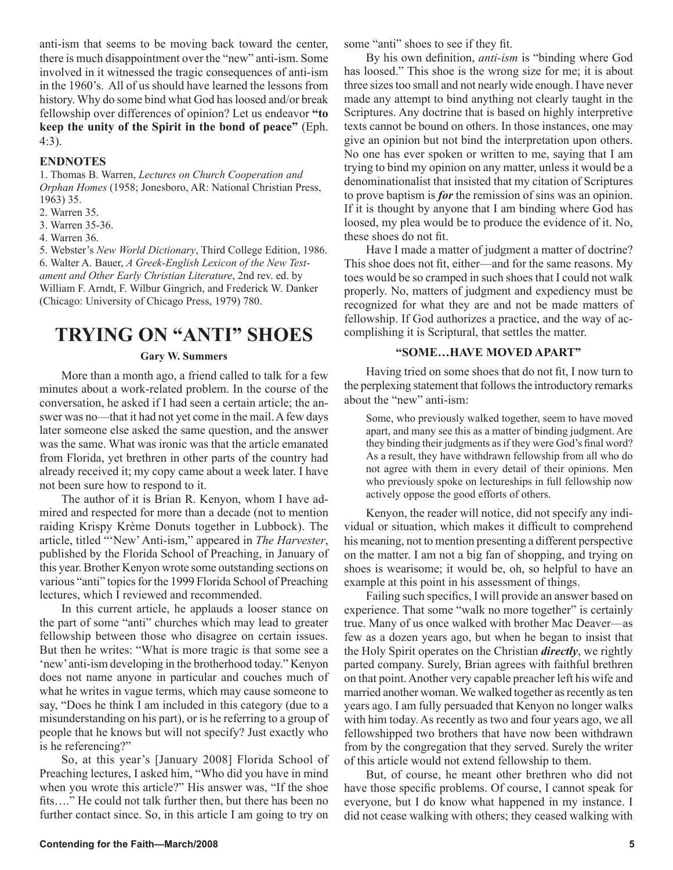anti-ism that seems to be moving back toward the center, there is much disappointment over the "new" anti-ism. Some involved in it witnessed the tragic consequences of anti-ism in the 1960's. All of us should have learned the lessons from history. Why do some bind what God has loosed and/or break fellowship over differences of opinion? Let us endeavor **"to keep the unity of the Spirit in the bond of peace"** (Eph. 4:3).

#### **ENDNOTES**

1. Thomas B. Warren, *Lectures on Church Cooperation and Orphan Homes* (1958; Jonesboro, AR: National Christian Press, 1963) 35.

- 2. Warren 35.
- 3. Warren 35-36.
- 4. Warren 36.

5. Webster's *New World Dictionary*, Third College Edition, 1986. 6. Walter A. Bauer, *A Greek-English Lexicon of the New Testament and Other Early Christian Literature*, 2nd rev. ed. by William F. Arndt, F. Wilbur Gingrich, and Frederick W. Danker (Chicago: University of Chicago Press, 1979) 780.

### **TRYING ON "ANTI" SHOES**

#### **Gary W. Summers**

More than a month ago, a friend called to talk for a few minutes about a work-related problem. In the course of the conversation, he asked if I had seen a certain article; the answer was no—that it had not yet come in the mail. A few days later someone else asked the same question, and the answer was the same. What was ironic was that the article emanated from Florida, yet brethren in other parts of the country had already received it; my copy came about a week later. I have not been sure how to respond to it.

The author of it is Brian R. Kenyon, whom I have admired and respected for more than a decade (not to mention raiding Krispy Krème Donuts together in Lubbock). The article, titled "'New' Anti-ism," appeared in *The Harvester*, published by the Florida School of Preaching, in January of this year. Brother Kenyon wrote some outstanding sections on various "anti" topics for the 1999 Florida School of Preaching lectures, which I reviewed and recommended.

In this current article, he applauds a looser stance on the part of some "anti" churches which may lead to greater fellowship between those who disagree on certain issues. But then he writes: "What is more tragic is that some see a 'new' anti-ism developing in the brotherhood today." Kenyon does not name anyone in particular and couches much of what he writes in vague terms, which may cause someone to say, "Does he think I am included in this category (due to a misunderstanding on his part), or is he referring to a group of people that he knows but will not specify? Just exactly who is he referencing?"

So, at this year's [January 2008] Florida School of Preaching lectures, I asked him, "Who did you have in mind when you wrote this article?" His answer was, "If the shoe fits…." He could not talk further then, but there has been no further contact since. So, in this article I am going to try on some "anti" shoes to see if they fit.

By his own definition, *anti-ism* is "binding where God has loosed." This shoe is the wrong size for me; it is about three sizes too small and not nearly wide enough. I have never made any attempt to bind anything not clearly taught in the Scriptures. Any doctrine that is based on highly interpretive texts cannot be bound on others. In those instances, one may give an opinion but not bind the interpretation upon others. No one has ever spoken or written to me, saying that I am trying to bind my opinion on any matter, unless it would be a denominationalist that insisted that my citation of Scriptures to prove baptism is *for* the remission of sins was an opinion. If it is thought by anyone that I am binding where God has loosed, my plea would be to produce the evidence of it. No, these shoes do not fit.

Have I made a matter of judgment a matter of doctrine? This shoe does not fit, either—and for the same reasons. My toes would be so cramped in such shoes that I could not walk properly. No, matters of judgment and expediency must be recognized for what they are and not be made matters of fellowship. If God authorizes a practice, and the way of accomplishing it is Scriptural, that settles the matter.

#### **"SOME…HAVE MOVED APART"**

Having tried on some shoes that do not fit, I now turn to the perplexing statement that follows the introductory remarks about the "new" anti-ism:

Some, who previously walked together, seem to have moved apart, and many see this as a matter of binding judgment. Are they binding their judgments as if they were God's final word? As a result, they have withdrawn fellowship from all who do not agree with them in every detail of their opinions. Men who previously spoke on lectureships in full fellowship now actively oppose the good efforts of others.

Kenyon, the reader will notice, did not specify any individual or situation, which makes it difficult to comprehend his meaning, not to mention presenting a different perspective on the matter. I am not a big fan of shopping, and trying on shoes is wearisome; it would be, oh, so helpful to have an example at this point in his assessment of things.

Failing such specifics, I will provide an answer based on experience. That some "walk no more together" is certainly true. Many of us once walked with brother Mac Deaver—as few as a dozen years ago, but when he began to insist that the Holy Spirit operates on the Christian *directly*, we rightly parted company. Surely, Brian agrees with faithful brethren on that point. Another very capable preacher left his wife and married another woman. We walked together as recently as ten years ago. I am fully persuaded that Kenyon no longer walks with him today. As recently as two and four years ago, we all fellowshipped two brothers that have now been withdrawn from by the congregation that they served. Surely the writer of this article would not extend fellowship to them.

But, of course, he meant other brethren who did not have those specific problems. Of course, I cannot speak for everyone, but I do know what happened in my instance. I did not cease walking with others; they ceased walking with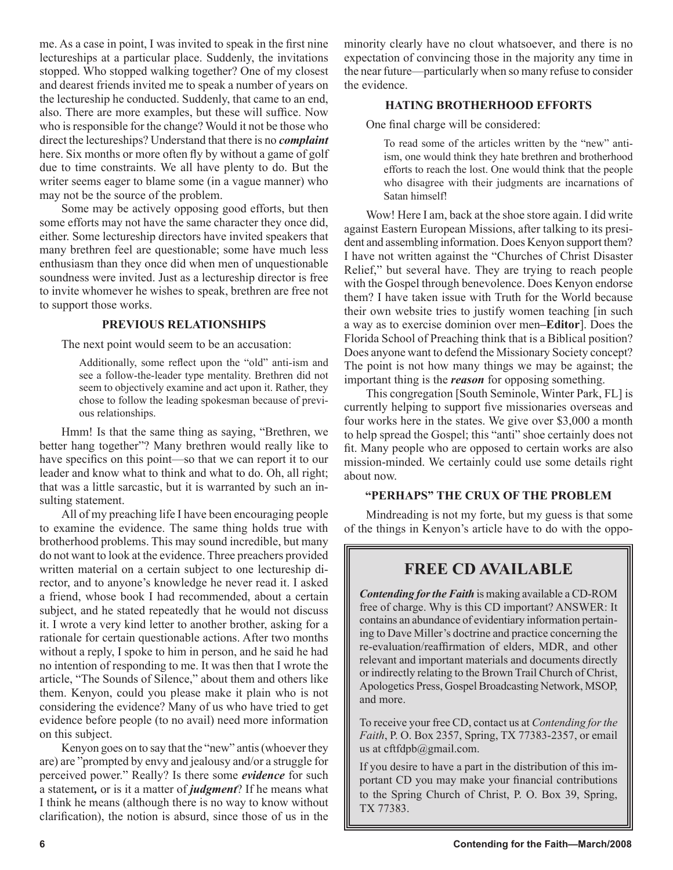me. As a case in point, I was invited to speak in the first nine lectureships at a particular place. Suddenly, the invitations stopped. Who stopped walking together? One of my closest and dearest friends invited me to speak a number of years on the lectureship he conducted. Suddenly, that came to an end, also. There are more examples, but these will suffice. Now who is responsible for the change? Would it not be those who direct the lectureships? Understand that there is no *complaint*  here. Six months or more often fly by without a game of golf due to time constraints. We all have plenty to do. But the writer seems eager to blame some (in a vague manner) who may not be the source of the problem.

Some may be actively opposing good efforts, but then some efforts may not have the same character they once did, either. Some lectureship directors have invited speakers that many brethren feel are questionable; some have much less enthusiasm than they once did when men of unquestionable soundness were invited. Just as a lectureship director is free to invite whomever he wishes to speak, brethren are free not to support those works.

#### **PREVIOUS RELATIONSHIPS**

The next point would seem to be an accusation:

Additionally, some reflect upon the "old" anti-ism and see a follow-the-leader type mentality. Brethren did not seem to objectively examine and act upon it. Rather, they chose to follow the leading spokesman because of previous relationships.

Hmm! Is that the same thing as saying, "Brethren, we better hang together"? Many brethren would really like to have specifics on this point—so that we can report it to our leader and know what to think and what to do. Oh, all right; that was a little sarcastic, but it is warranted by such an insulting statement.

All of my preaching life I have been encouraging people to examine the evidence. The same thing holds true with brotherhood problems. This may sound incredible, but many do not want to look at the evidence. Three preachers provided written material on a certain subject to one lectureship director, and to anyone's knowledge he never read it. I asked a friend, whose book I had recommended, about a certain subject, and he stated repeatedly that he would not discuss it. I wrote a very kind letter to another brother, asking for a rationale for certain questionable actions. After two months without a reply, I spoke to him in person, and he said he had no intention of responding to me. It was then that I wrote the article, "The Sounds of Silence," about them and others like them. Kenyon, could you please make it plain who is not considering the evidence? Many of us who have tried to get evidence before people (to no avail) need more information on this subject.

Kenyon goes on to say that the "new" antis (whoever they are) are "prompted by envy and jealousy and/or a struggle for perceived power." Really? Is there some *evidence* for such a statement*,* or is it a matter of *judgment*? If he means what I think he means (although there is no way to know without clarification), the notion is absurd, since those of us in the minority clearly have no clout whatsoever, and there is no expectation of convincing those in the majority any time in the near future—particularly when so many refuse to consider the evidence.

#### **HATING BROTHERHOOD EFFORTS**

One final charge will be considered:

To read some of the articles written by the "new" antiism, one would think they hate brethren and brotherhood efforts to reach the lost. One would think that the people who disagree with their judgments are incarnations of Satan himself!

Wow! Here I am, back at the shoe store again. I did write against Eastern European Missions, after talking to its president and assembling information. Does Kenyon support them? I have not written against the "Churches of Christ Disaster Relief," but several have. They are trying to reach people with the Gospel through benevolence. Does Kenyon endorse them? I have taken issue with Truth for the World because their own website tries to justify women teaching [in such a way as to exercise dominion over men**–Editor**]. Does the Florida School of Preaching think that is a Biblical position? Does anyone want to defend the Missionary Society concept? The point is not how many things we may be against; the important thing is the *reason* for opposing something.

This congregation [South Seminole, Winter Park, FL] is currently helping to support five missionaries overseas and four works here in the states. We give over \$3,000 a month to help spread the Gospel; this "anti" shoe certainly does not fit. Many people who are opposed to certain works are also mission-minded. We certainly could use some details right about now.

#### **"PERHAPS" THE CRUX OF THE PROBLEM**

Mindreading is not my forte, but my guess is that some of the things in Kenyon's article have to do with the oppo-

#### **FREE CD AVAILABLE**

*Contending for the Faith* is making available a CD-ROM free of charge. Why is this CD important? ANSWER: It contains an abundance of evidentiary information pertaining to Dave Miller's doctrine and practice concerning the re-evaluation/reaffirmation of elders, MDR, and other relevant and important materials and documents directly or indirectly relating to the Brown Trail Church of Christ, Apologetics Press, Gospel Broadcasting Network, MSOP, and more.

To receive your free CD, contact us at *Contending for the Faith*, P. O. Box 2357, Spring, TX 77383-2357, or email us at cftfdpb@gmail.com.

If you desire to have a part in the distribution of this important CD you may make your financial contributions to the Spring Church of Christ, P. O. Box 39, Spring, TX 77383.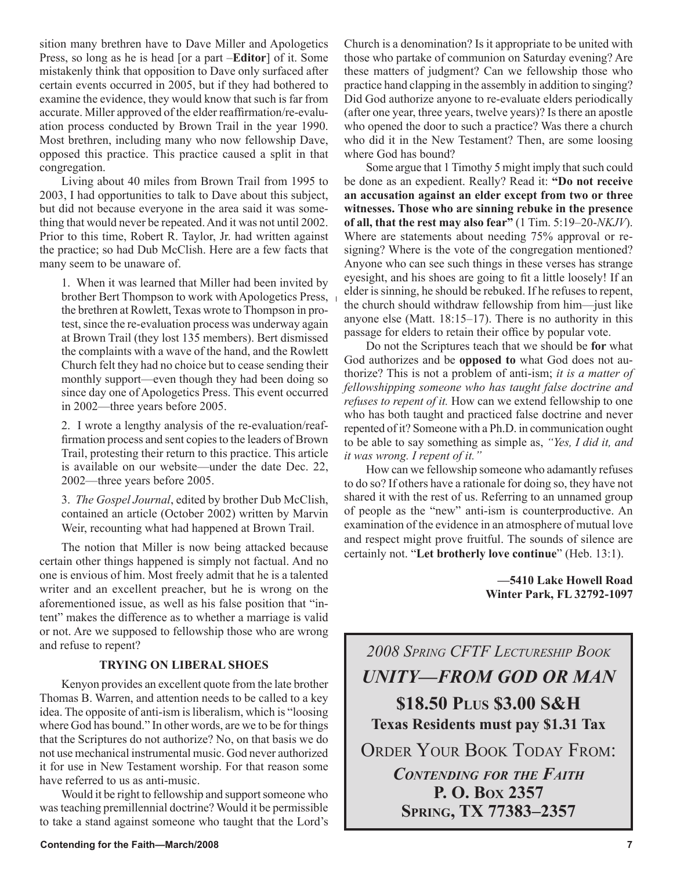sition many brethren have to Dave Miller and Apologetics Press, so long as he is head [or a part –**Editor**] of it. Some mistakenly think that opposition to Dave only surfaced after certain events occurred in 2005, but if they had bothered to examine the evidence, they would know that such is far from accurate. Miller approved of the elder reaffirmation/re-evaluation process conducted by Brown Trail in the year 1990. Most brethren, including many who now fellowship Dave, opposed this practice. This practice caused a split in that congregation.

Living about 40 miles from Brown Trail from 1995 to 2003, I had opportunities to talk to Dave about this subject, but did not because everyone in the area said it was something that would never be repeated. And it was not until 2002. Prior to this time, Robert R. Taylor, Jr. had written against the practice; so had Dub McClish. Here are a few facts that many seem to be unaware of.

1. When it was learned that Miller had been invited by brother Bert Thompson to work with Apologetics Press, the brethren at Rowlett, Texas wrote to Thompson in protest, since the re-evaluation process was underway again at Brown Trail (they lost 135 members). Bert dismissed the complaints with a wave of the hand, and the Rowlett Church felt they had no choice but to cease sending their monthly support—even though they had been doing so since day one of Apologetics Press. This event occurred in 2002—three years before 2005.

2. I wrote a lengthy analysis of the re-evaluation/reaffirmation process and sent copies to the leaders of Brown Trail, protesting their return to this practice. This article is available on our website—under the date Dec. 22, 2002—three years before 2005.

3. *The Gospel Journal*, edited by brother Dub McClish, contained an article (October 2002) written by Marvin Weir, recounting what had happened at Brown Trail.

The notion that Miller is now being attacked because certain other things happened is simply not factual. And no one is envious of him. Most freely admit that he is a talented writer and an excellent preacher, but he is wrong on the aforementioned issue, as well as his false position that "intent" makes the difference as to whether a marriage is valid or not. Are we supposed to fellowship those who are wrong and refuse to repent?

#### **TRYING ON LIBERAL SHOES**

Kenyon provides an excellent quote from the late brother Thomas B. Warren, and attention needs to be called to a key idea. The opposite of anti-ism is liberalism, which is "loosing where God has bound." In other words, are we to be for things that the Scriptures do not authorize? No, on that basis we do not use mechanical instrumental music. God never authorized it for use in New Testament worship. For that reason some have referred to us as anti-music.

Would it be right to fellowship and support someone who was teaching premillennial doctrine? Would it be permissible to take a stand against someone who taught that the Lord's Church is a denomination? Is it appropriate to be united with those who partake of communion on Saturday evening? Are these matters of judgment? Can we fellowship those who practice hand clapping in the assembly in addition to singing? Did God authorize anyone to re-evaluate elders periodically (after one year, three years, twelve years)? Is there an apostle who opened the door to such a practice? Was there a church who did it in the New Testament? Then, are some loosing where God has bound?

Some argue that 1 Timothy 5 might imply that such could be done as an expedient. Really? Read it: **"Do not receive an accusation against an elder except from two or three witnesses. Those who are sinning rebuke in the presence of all, that the rest may also fear"** (1 Tim. 5:19–20-*NKJV*). Where are statements about needing 75% approval or resigning? Where is the vote of the congregation mentioned? Anyone who can see such things in these verses has strange eyesight, and his shoes are going to fit a little loosely! If an elder is sinning, he should be rebuked. If he refuses to repent, the church should withdraw fellowship from him—just like anyone else (Matt. 18:15–17). There is no authority in this passage for elders to retain their office by popular vote.

Do not the Scriptures teach that we should be **for** what God authorizes and be **opposed to** what God does not authorize? This is not a problem of anti-ism; *it is a matter of fellowshipping someone who has taught false doctrine and refuses to repent of it.* How can we extend fellowship to one who has both taught and practiced false doctrine and never repented of it? Someone with a Ph.D. in communication ought to be able to say something as simple as, *"Yes, I did it, and it was wrong. I repent of it."*

How can we fellowship someone who adamantly refuses to do so? If others have a rationale for doing so, they have not shared it with the rest of us. Referring to an unnamed group of people as the "new" anti-ism is counterproductive. An examination of the evidence in an atmosphere of mutual love and respect might prove fruitful. The sounds of silence are certainly not. "**Let brotherly love continue**" (Heb. 13:1).

> **—5410 Lake Howell Road Winter Park, FL 32792-1097**

*2008 SPRING CFTF LECTURESHIP BOOK UNITY—FROM GOD OR MAN* **\$18.50 PLUS \$3.00 S&H Texas Residents must pay \$1.31 Tax** ORDER YOUR BOOK TODAY FROM: *CONTENDING FOR THE FAITH* **P. O. BOX 2357**

**SPRING, TX 77383–2357**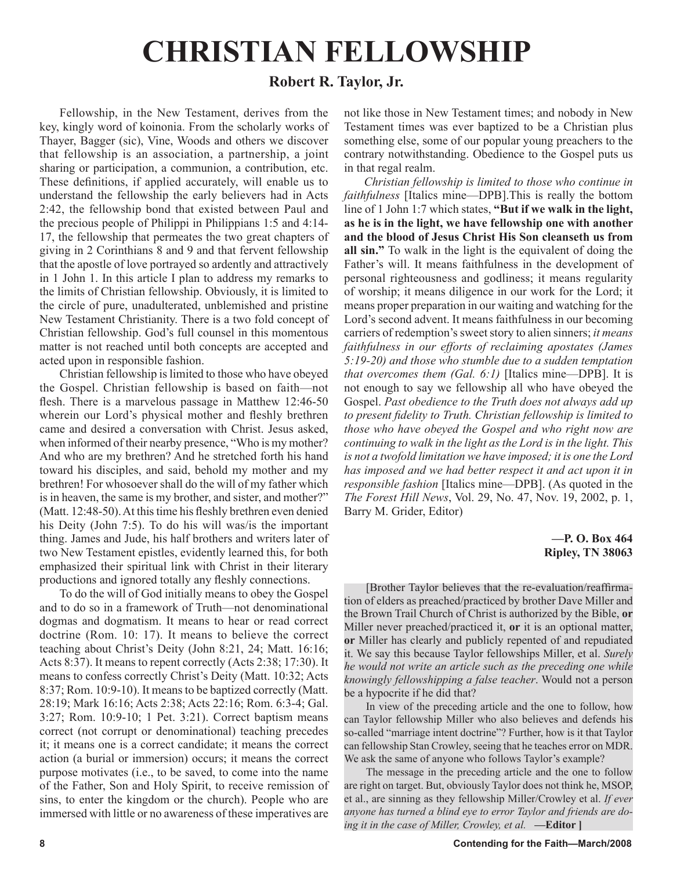# **CHRISTIAN FELLOWSHIP**

### **Robert R. Taylor, Jr.**

Fellowship, in the New Testament, derives from the key, kingly word of koinonia. From the scholarly works of Thayer, Bagger (sic), Vine, Woods and others we discover that fellowship is an association, a partnership, a joint sharing or participation, a communion, a contribution, etc. These definitions, if applied accurately, will enable us to understand the fellowship the early believers had in Acts 2:42, the fellowship bond that existed between Paul and the precious people of Philippi in Philippians 1:5 and 4:14- 17, the fellowship that permeates the two great chapters of giving in 2 Corinthians 8 and 9 and that fervent fellowship that the apostle of love portrayed so ardently and attractively in 1 John 1. In this article I plan to address my remarks to the limits of Christian fellowship. Obviously, it is limited to the circle of pure, unadulterated, unblemished and pristine New Testament Christianity. There is a two fold concept of Christian fellowship. God's full counsel in this momentous matter is not reached until both concepts are accepted and acted upon in responsible fashion.

Christian fellowship is limited to those who have obeyed the Gospel. Christian fellowship is based on faith—not flesh. There is a marvelous passage in Matthew 12:46-50 wherein our Lord's physical mother and fleshly brethren came and desired a conversation with Christ. Jesus asked, when informed of their nearby presence, "Who is my mother? And who are my brethren? And he stretched forth his hand toward his disciples, and said, behold my mother and my brethren! For whosoever shall do the will of my father which is in heaven, the same is my brother, and sister, and mother?" (Matt. 12:48-50). At this time his fleshly brethren even denied his Deity (John 7:5). To do his will was/is the important thing. James and Jude, his half brothers and writers later of two New Testament epistles, evidently learned this, for both emphasized their spiritual link with Christ in their literary productions and ignored totally any fleshly connections.

To do the will of God initially means to obey the Gospel and to do so in a framework of Truth—not denominational dogmas and dogmatism. It means to hear or read correct doctrine (Rom. 10: 17). It means to believe the correct teaching about Christ's Deity (John 8:21, 24; Matt. 16:16; Acts 8:37). It means to repent correctly (Acts 2:38; 17:30). It means to confess correctly Christ's Deity (Matt. 10:32; Acts 8:37; Rom. 10:9-10). It means to be baptized correctly (Matt. 28:19; Mark 16:16; Acts 2:38; Acts 22:16; Rom. 6:3-4; Gal. 3:27; Rom. 10:9-10; 1 Pet. 3:21). Correct baptism means correct (not corrupt or denominational) teaching precedes it; it means one is a correct candidate; it means the correct action (a burial or immersion) occurs; it means the correct purpose motivates (i.e., to be saved, to come into the name of the Father, Son and Holy Spirit, to receive remission of sins, to enter the kingdom or the church). People who are immersed with little or no awareness of these imperatives are not like those in New Testament times; and nobody in New Testament times was ever baptized to be a Christian plus something else, some of our popular young preachers to the contrary notwithstanding. Obedience to the Gospel puts us in that regal realm.

*Christian fellowship is limited to those who continue in faithfulness* [Italics mine—DPB].This is really the bottom line of 1 John 1:7 which states, **"But if we walk in the light, as he is in the light, we have fellowship one with another and the blood of Jesus Christ His Son cleanseth us from all sin."** To walk in the light is the equivalent of doing the Father's will. It means faithfulness in the development of personal righteousness and godliness; it means regularity of worship; it means diligence in our work for the Lord; it means proper preparation in our waiting and watching for the Lord's second advent. It means faithfulness in our becoming carriers of redemption's sweet story to alien sinners; *it means faithfulness in our efforts of reclaiming apostates (James 5:19-20) and those who stumble due to a sudden temptation that overcomes them (Gal. 6:1)* [Italics mine—DPB]. It is not enough to say we fellowship all who have obeyed the Gospel. *Past obedience to the Truth does not always add up to present fidelity to Truth. Christian fellowship is limited to those who have obeyed the Gospel and who right now are continuing to walk in the light as the Lord is in the light. This is not a twofold limitation we have imposed; it is one the Lord has imposed and we had better respect it and act upon it in responsible fashion* [Italics mine—DPB]. (As quoted in the *The Forest Hill News*, Vol. 29, No. 47, Nov. 19, 2002, p. 1, Barry M. Grider, Editor)

#### **—P. O. Box 464 Ripley, TN 38063**

[Brother Taylor believes that the re-evaluation/reaffirmation of elders as preached/practiced by brother Dave Miller and the Brown Trail Church of Christ is authorized by the Bible, **or** Miller never preached/practiced it, **or** it is an optional matter, **or** Miller has clearly and publicly repented of and repudiated it. We say this because Taylor fellowships Miller, et al. *Surely he would not write an article such as the preceding one while knowingly fellowshipping a false teacher*. Would not a person be a hypocrite if he did that?

In view of the preceding article and the one to follow, how can Taylor fellowship Miller who also believes and defends his so-called "marriage intent doctrine"? Further, how is it that Taylor can fellowship Stan Crowley, seeing that he teaches error on MDR. We ask the same of anyone who follows Taylor's example?

The message in the preceding article and the one to follow are right on target. But, obviously Taylor does not think he, MSOP, et al., are sinning as they fellowship Miller/Crowley et al. *If ever anyone has turned a blind eye to error Taylor and friends are doing it in the case of Miller, Crowley, et al.* **—Editor ]**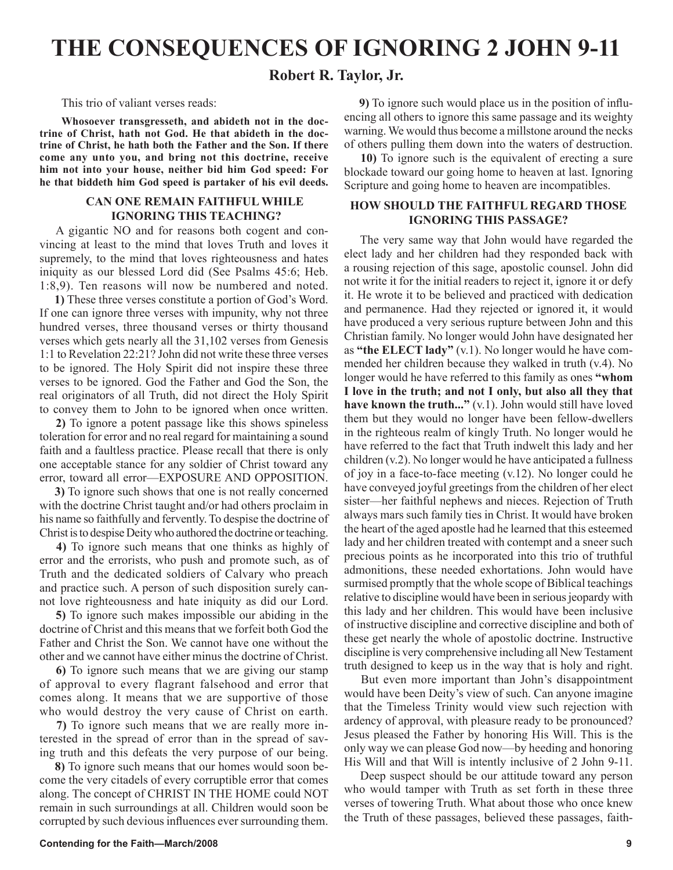# **THE CONSEQUENCES OF IGNORING 2 JOHN 9-11**

### **Robert R. Taylor, Jr.**

This trio of valiant verses reads:

**Whosoever transgresseth, and abideth not in the doctrine of Christ, hath not God. He that abideth in the doctrine of Christ, he hath both the Father and the Son. If there come any unto you, and bring not this doctrine, receive him not into your house, neither bid him God speed: For he that biddeth him God speed is partaker of his evil deeds.** 

#### **CAN ONE REMAIN FAITHFUL WHILE IGNORING THIS TEACHING?**

 A gigantic NO and for reasons both cogent and convincing at least to the mind that loves Truth and loves it supremely, to the mind that loves righteousness and hates iniquity as our blessed Lord did (See Psalms 45:6; Heb. 1:8,9). Ten reasons will now be numbered and noted.

 **1)** These three verses constitute a portion of God's Word. If one can ignore three verses with impunity, why not three hundred verses, three thousand verses or thirty thousand verses which gets nearly all the 31,102 verses from Genesis 1:1 to Revelation 22:21? John did not write these three verses to be ignored. The Holy Spirit did not inspire these three verses to be ignored. God the Father and God the Son, the real originators of all Truth, did not direct the Holy Spirit to convey them to John to be ignored when once written.

 **2)** To ignore a potent passage like this shows spineless toleration for error and no real regard for maintaining a sound faith and a faultless practice. Please recall that there is only one acceptable stance for any soldier of Christ toward any error, toward all error—EXPOSURE AND OPPOSITION.

 **3)** To ignore such shows that one is not really concerned with the doctrine Christ taught and/or had others proclaim in his name so faithfully and fervently. To despise the doctrine of Christ is to despise Deity who authored the doctrine or teaching.

 **4)** To ignore such means that one thinks as highly of error and the errorists, who push and promote such, as of Truth and the dedicated soldiers of Calvary who preach and practice such. A person of such disposition surely cannot love righteousness and hate iniquity as did our Lord.

 **5)** To ignore such makes impossible our abiding in the doctrine of Christ and this means that we forfeit both God the Father and Christ the Son. We cannot have one without the other and we cannot have either minus the doctrine of Christ.

 **6)** To ignore such means that we are giving our stamp of approval to every flagrant falsehood and error that comes along. It means that we are supportive of those who would destroy the very cause of Christ on earth.

 **7)** To ignore such means that we are really more interested in the spread of error than in the spread of saving truth and this defeats the very purpose of our being.

 **8)** To ignore such means that our homes would soon become the very citadels of every corruptible error that comes along. The concept of CHRIST IN THE HOME could NOT remain in such surroundings at all. Children would soon be corrupted by such devious influences ever surrounding them.

 **9)** To ignore such would place us in the position of influencing all others to ignore this same passage and its weighty warning. We would thus become a millstone around the necks of others pulling them down into the waters of destruction.

 **10)** To ignore such is the equivalent of erecting a sure blockade toward our going home to heaven at last. Ignoring Scripture and going home to heaven are incompatibles.

#### **HOW SHOULD THE FAITHFUL REGARD THOSE IGNORING THIS PASSAGE?**

 The very same way that John would have regarded the elect lady and her children had they responded back with a rousing rejection of this sage, apostolic counsel. John did not write it for the initial readers to reject it, ignore it or defy it. He wrote it to be believed and practiced with dedication and permanence. Had they rejected or ignored it, it would have produced a very serious rupture between John and this Christian family. No longer would John have designated her as **"the ELECT lady"** (v.1). No longer would he have commended her children because they walked in truth (v.4). No longer would he have referred to this family as ones **"whom I love in the truth; and not I only, but also all they that have known the truth..."** (v.1). John would still have loved them but they would no longer have been fellow-dwellers in the righteous realm of kingly Truth. No longer would he have referred to the fact that Truth indwelt this lady and her children (v.2). No longer would he have anticipated a fullness of joy in a face-to-face meeting (v.12). No longer could he have conveyed joyful greetings from the children of her elect sister—her faithful nephews and nieces. Rejection of Truth always mars such family ties in Christ. It would have broken the heart of the aged apostle had he learned that this esteemed lady and her children treated with contempt and a sneer such precious points as he incorporated into this trio of truthful admonitions, these needed exhortations. John would have surmised promptly that the whole scope of Biblical teachings relative to discipline would have been in serious jeopardy with this lady and her children. This would have been inclusive of instructive discipline and corrective discipline and both of these get nearly the whole of apostolic doctrine. Instructive discipline is very comprehensive including all New Testament truth designed to keep us in the way that is holy and right.

 But even more important than John's disappointment would have been Deity's view of such. Can anyone imagine that the Timeless Trinity would view such rejection with ardency of approval, with pleasure ready to be pronounced? Jesus pleased the Father by honoring His Will. This is the only way we can please God now—by heeding and honoring His Will and that Will is intently inclusive of 2 John 9-11.

 Deep suspect should be our attitude toward any person who would tamper with Truth as set forth in these three verses of towering Truth. What about those who once knew the Truth of these passages, believed these passages, faith-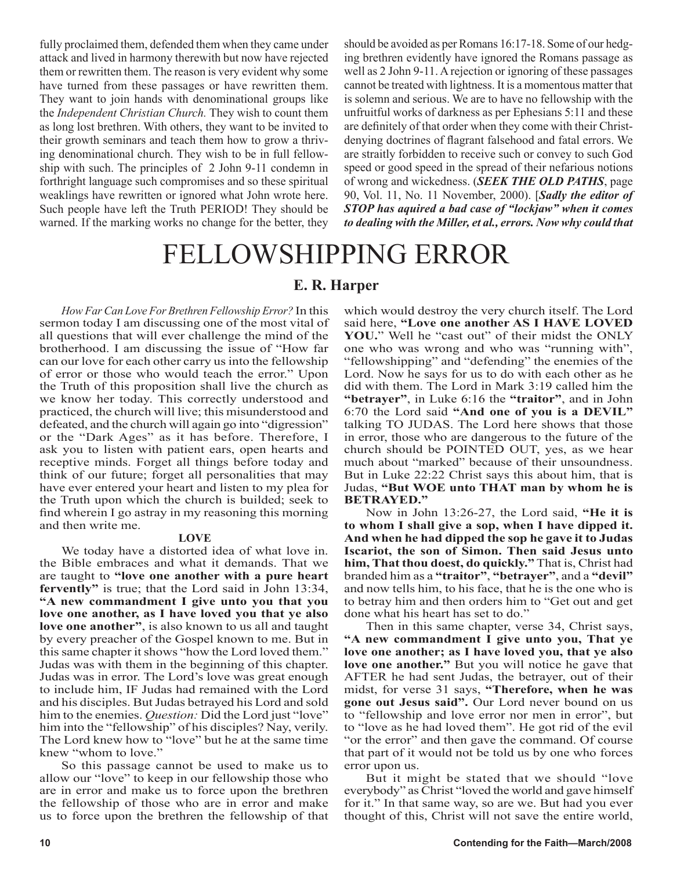fully proclaimed them, defended them when they came under attack and lived in harmony therewith but now have rejected them or rewritten them. The reason is very evident why some have turned from these passages or have rewritten them. They want to join hands with denominational groups like the *Independent Christian Church.* They wish to count them as long lost brethren. With others, they want to be invited to their growth seminars and teach them how to grow a thriving denominational church. They wish to be in full fellowship with such. The principles of 2 John 9-11 condemn in forthright language such compromises and so these spiritual weaklings have rewritten or ignored what John wrote here. Such people have left the Truth PERIOD! They should be warned. If the marking works no change for the better, they should be avoided as per Romans 16:17-18. Some of our hedging brethren evidently have ignored the Romans passage as well as 2 John 9-11. A rejection or ignoring of these passages cannot be treated with lightness. It is a momentous matter that is solemn and serious. We are to have no fellowship with the unfruitful works of darkness as per Ephesians 5:11 and these are definitely of that order when they come with their Christdenying doctrines of flagrant falsehood and fatal errors. We are straitly forbidden to receive such or convey to such God speed or good speed in the spread of their nefarious notions of wrong and wickedness. (*SEEK THE OLD PATHS*, page 90, Vol. 11, No. 11 November, 2000). [*Sadly the editor of STOP has aquired a bad case of "lockjaw" when it comes to dealing with the Miller, et al., errors. Now why could that* 

# FELLOWSHIPPING ERROR

#### **E. R. Harper**

*How Far Can Love For Brethren Fellowship Error?* In this sermon today I am discussing one of the most vital of all questions that will ever challenge the mind of the brotherhood. I am discussing the issue of "How far can our love for each other carry us into the fellowship of error or those who would teach the error." Upon the Truth of this proposition shall live the church as we know her today. This correctly understood and practiced, the church will live; this misunderstood and defeated, and the church will again go into "digression" or the "Dark Ages" as it has before. Therefore, I ask you to listen with patient ears, open hearts and receptive minds. Forget all things before today and think of our future; forget all personalities that may have ever entered your heart and listen to my plea for the Truth upon which the church is builded; seek to find wherein I go astray in my reasoning this morning and then write me.

#### **LOVE**

We today have a distorted idea of what love in. the Bible embraces and what it demands. That we are taught to **"love one another with a pure heart fervently"** is true; that the Lord said in John 13:34, **"A new commandment I give unto you that you love one another, as I have loved you that ye also love one another"**, is also known to us all and taught by every preacher of the Gospel known to me. But in this same chapter it shows "how the Lord loved them." Judas was with them in the beginning of this chapter. Judas was in error. The Lord's love was great enough to include him, IF Judas had remained with the Lord and his disciples. But Judas betrayed his Lord and sold him to the enemies. *Question:* Did the Lord just "love" him into the "fellowship" of his disciples? Nay, verily. The Lord knew how to "love" but he at the same time knew "whom to love."

So this passage cannot be used to make us to allow our "love" to keep in our fellowship those who are in error and make us to force upon the brethren the fellowship of those who are in error and make us to force upon the brethren the fellowship of that which would destroy the very church itself. The Lord said here, **"Love one another AS I HAVE LOVED**  YOU." Well he "cast out" of their midst the ONLY one who was wrong and who was "running with", "fellowshipping" and "defending" the enemies of the Lord. Now he says for us to do with each other as he did with them. The Lord in Mark 3:19 called him the **"betrayer"**, in Luke 6:16 the **"traitor"**, and in John 6:70 the Lord said **"And one of you is a DEVIL"** talking TO JUDAS. The Lord here shows that those in error, those who are dangerous to the future of the church should be POINTED OUT, yes, as we hear much about "marked" because of their unsoundness. But in Luke 22:22 Christ says this about him, that is Judas, **"But WOE unto THAT man by whom he is BETRAYED."**

Now in John 13:26-27, the Lord said, **"He it is to whom I shall give a sop, when I have dipped it. And when he had dipped the sop he gave it to Judas Iscariot, the son of Simon. Then said Jesus unto him, That thou doest, do quickly."** That is, Christ had branded him as a **"traitor"**, **"betrayer"**, and a **"devil"** and now tells him, to his face, that he is the one who is to betray him and then orders him to "Get out and get done what his heart has set to do."

Then in this same chapter, verse 34, Christ says, **"A new commandment I give unto you, That ye love one another; as I have loved you, that ye also love one another."** But you will notice he gave that AFTER he had sent Judas, the betrayer, out of their midst, for verse 31 says, **"Therefore, when he was gone out Jesus said".** Our Lord never bound on us to "fellowship and love error nor men in error", but to "love as he had loved them". He got rid of the evil "or the error" and then gave the command. Of course that part of it would not be told us by one who forces error upon us.

But it might be stated that we should "love everybody" as Christ "loved the world and gave himself for it." In that same way, so are we. But had you ever thought of this, Christ will not save the entire world,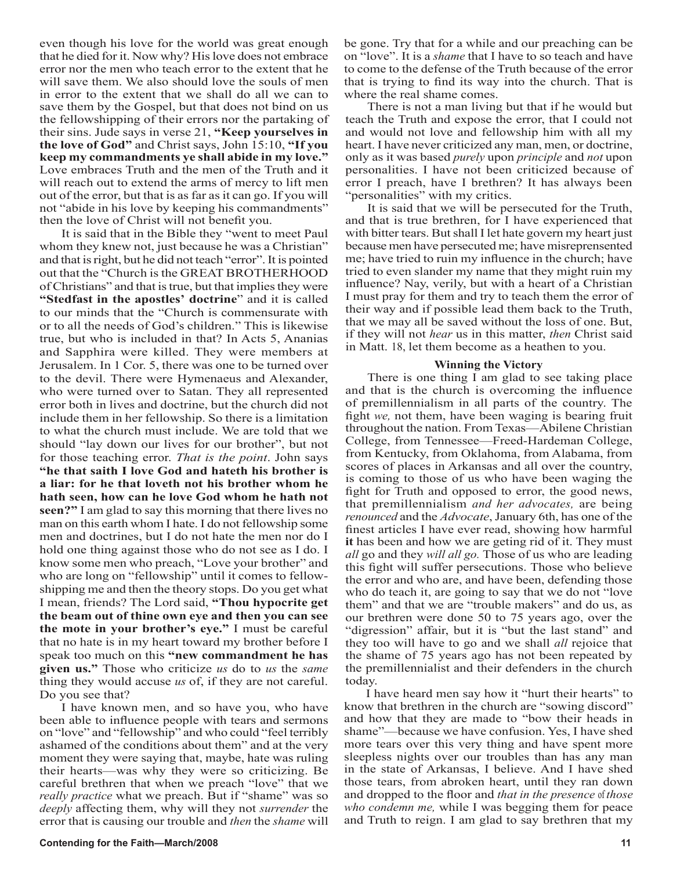even though his love for the world was great enough that he died for it. Now why? His love does not embrace error nor the men who teach error to the extent that he will save them. We also should love the souls of men in error to the extent that we shall do all we can to save them by the Gospel, but that does not bind on us the fellowshipping of their errors nor the partaking of their sins. Jude says in verse 21, **"Keep yourselves in the love of God"** and Christ says, John 15:10, **"If you keep my commandments ye shall abide in my love."**  Love embraces Truth and the men of the Truth and it will reach out to extend the arms of mercy to lift men out of the error, but that is as far as it can go. If you will not "abide in his love by keeping his commandments" then the love of Christ will not benefit you.

It is said that in the Bible they "went to meet Paul whom they knew not, just because he was a Christian" and that is right, but he did not teach "error". It is pointed out that the "Church is the GREAT BROTHERHOOD of Christians" and that is true, but that implies they were **"Stedfast in the apostles' doctrine**" and it is called to our minds that the "Church is commensurate with or to all the needs of God's children." This is likewise true, but who is included in that? In Acts 5, Ananias and Sapphira were killed. They were members at Jerusalem. In 1 Cor. 5, there was one to be turned over to the devil. There were Hymenaeus and Alexander, who were turned over to Satan. They all represented error both in lives and doctrine, but the church did not include them in her fellowship. So there is a limitation to what the church must include. We are told that we should "lay down our lives for our brother", but not for those teaching error. *That is the point*. John says **"he that saith I love God and hateth his brother is a liar: for he that loveth not his brother whom he hath seen, how can he love God whom he hath not seen?"** I am glad to say this morning that there lives no man on this earth whom I hate. I do not fellowship some men and doctrines, but I do not hate the men nor do I hold one thing against those who do not see as I do. I know some men who preach, "Love your brother" and who are long on "fellowship" until it comes to fellowshipping me and then the theory stops. Do you get what I mean, friends? The Lord said, **"Thou hypocrite get the beam out of thine own eye and then you can see the mote in your brother's eye."** I must be careful that no hate is in my heart toward my brother before I speak too much on this **"new commandment he has given us."** Those who criticize *us* do to *us* the *same*  thing they would accuse *us* of, if they are not careful. Do you see that?

I have known men, and so have you, who have been able to influence people with tears and sermons on "love" and "fellowship" and who could "feel terribly ashamed of the conditions about them" and at the very moment they were saying that, maybe, hate was ruling their hearts—was why they were so criticizing. Be careful brethren that when we preach "love" that we *really practice* what we preach. But if "shame" was so *deeply* affecting them, why will they not *surrender* the error that is causing our trouble and *then* the *shame* will be gone. Try that for a while and our preaching can be on "love". It is a *shame* that I have to so teach and have to come to the defense of the Truth because of the error that is trying to find its way into the church. That is where the real shame comes.

There is not a man living but that if he would but teach the Truth and expose the error, that I could not and would not love and fellowship him with all my heart. I have never criticized any man, men, or doctrine, only as it was based *purely* upon *principle* and *not* upon personalities. I have not been criticized because of error I preach, have I brethren? It has always been "personalities" with my critics.

It is said that we will be persecuted for the Truth, and that is true brethren, for I have experienced that with bitter tears. But shall I let hate govern my heart just because men have persecuted me; have misreprensented me; have tried to ruin my influence in the church; have tried to even slander my name that they might ruin my influence? Nay, verily, but with a heart of a Christian I must pray for them and try to teach them the error of their way and if possible lead them back to the Truth, that we may all be saved without the loss of one. But, if they will not *hear* us in this matter, *then* Christ said in Matt. 18, let them become as a heathen to you.

#### **Winning the Victory**

There is one thing I am glad to see taking place and that is the church is overcoming the influence of premillennialism in all parts of the country. The fight *we,* not them, have been waging is bearing fruit throughout the nation. From Texas—Abilene Christian College, from Tennessee—Freed-Hardeman College, from Kentucky, from Oklahoma, from Alabama, from scores of places in Arkansas and all over the country, is coming to those of us who have been waging the fight for Truth and opposed to error, the good news, that premillennialism *and her advocates,* are being *renounced* and the *Advocate*, January 6th, has one of the finest articles I have ever read, showing how harmful **it** has been and how we are geting rid of it. They must *all* go and they *will all go.* Those of us who are leading this fight will suffer persecutions. Those who believe the error and who are, and have been, defending those who do teach it, are going to say that we do not "love them" and that we are "trouble makers" and do us, as our brethren were done 50 to 75 years ago, over the "digression" affair, but it is "but the last stand" and they too will have to go and we shall *all* rejoice that the shame of 75 years ago has not been repeated by the premillennialist and their defenders in the church today.

I have heard men say how it "hurt their hearts" to know that brethren in the church are "sowing discord" and how that they are made to "bow their heads in shame"—because we have confusion. Yes, I have shed more tears over this very thing and have spent more sleepless nights over our troubles than has any man in the state of Arkansas, I believe. And I have shed those tears, from abroken heart, until they ran down and dropped to the floor and *that in the presence* of *those who condemn me,* while I was begging them for peace and Truth to reign. I am glad to say brethren that my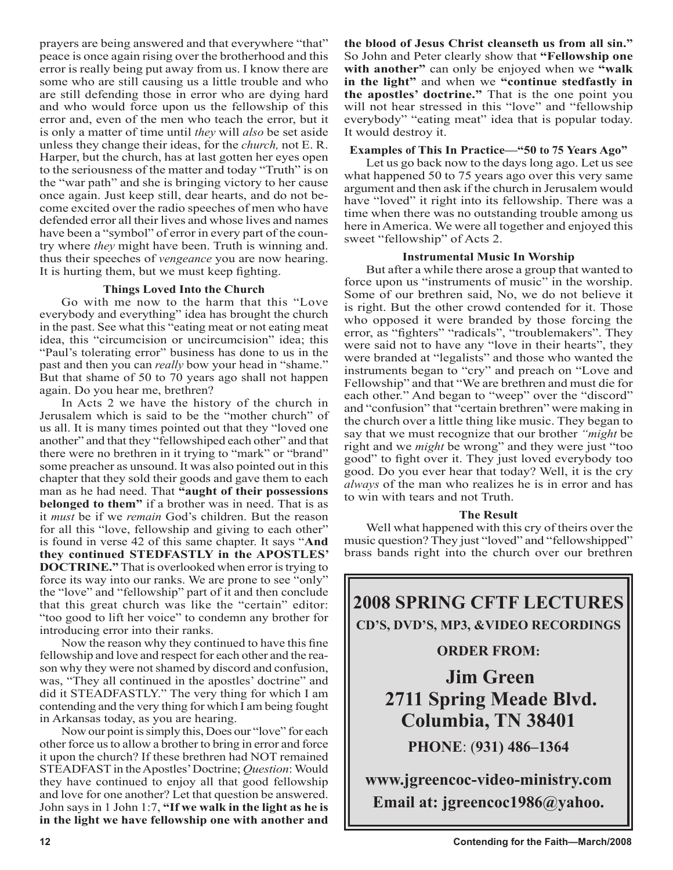prayers are being answered and that everywhere "that" peace is once again rising over the brotherhood and this error is really being put away from us. I know there are some who are still causing us a little trouble and who are still defending those in error who are dying hard and who would force upon us the fellowship of this error and, even of the men who teach the error, but it is only a matter of time until *they* will *also* be set aside unless they change their ideas, for the *church,* not E. R. Harper, but the church, has at last gotten her eyes open to the seriousness of the matter and today "Truth" is on the "war path" and she is bringing victory to her cause once again. Just keep still, dear hearts, and do not become excited over the radio speeches of men who have defended error all their lives and whose lives and names have been a "symbol" of error in every part of the country where *they* might have been. Truth is winning and. thus their speeches of *vengeance* you are now hearing. It is hurting them, but we must keep fighting.

#### **Things Loved Into the Church**

Go with me now to the harm that this "Love everybody and everything" idea has brought the church in the past. See what this "eating meat or not eating meat idea, this "circumcision or uncircumcision" idea; this "Paul's tolerating error" business has done to us in the past and then you can *really* bow your head in "shame." But that shame of 50 to 70 years ago shall not happen again. Do you hear me, brethren?

In Acts 2 we have the history of the church in Jerusalem which is said to be the "mother church" of us all. It is many times pointed out that they "loved one another" and that they "fellowshiped each other" and that there were no brethren in it trying to "mark" or "brand" some preacher as unsound. It was also pointed out in this chapter that they sold their goods and gave them to each man as he had need. That **"aught of their possessions belonged to them"** if a brother was in need. That is as it *must* be if we *remain* God's children. But the reason for all this "love, fellowship and giving to each other" is found in verse 42 of this same chapter. It says "**And they continued STEDFASTLY in the APOSTLES' DOCTRINE."** That is overlooked when error is trying to force its way into our ranks. We are prone to see "only" the "love" and "fellowship" part of it and then conclude that this great church was like the "certain" editor: "too good to lift her voice" to condemn any brother for introducing error into their ranks.

Now the reason why they continued to have this fine fellowship and love and respect for each other and the reason why they were not shamed by discord and confusion, was, "They all continued in the apostles' doctrine" and did it STEADFASTLY." The very thing for which I am contending and the very thing for which I am being fought in Arkansas today, as you are hearing.

Now our point is simply this, Does our "love" for each other force us to allow a brother to bring in error and force it upon the church? If these brethren had NOT remained STEADFAST in the Apostles' Doctrine; *Question*: Would they have continued to enjoy all that good fellowship and love for one another? Let that question be answered. John says in 1 John 1:7, **"If we walk in the light as he is in the light we have fellowship one with another and**  **the blood of Jesus Christ cleanseth us from all sin."** So John and Peter clearly show that **"Fellowship one with another"** can only be enjoyed when we **"walk in the light"** and when we **"continue stedfastly in the apostles' doctrine."** That is the one point you will not hear stressed in this "love" and "fellowship" everybody" "eating meat" idea that is popular today. It would destroy it.

#### **Examples of This In Practice—"50 to 75 Years Ago"**

Let us go back now to the days long ago. Let us see what happened 50 to 75 years ago over this very same argument and then ask if the church in Jerusalem would have "loved" it right into its fellowship. There was a time when there was no outstanding trouble among us here in America. We were all together and enjoyed this sweet "fellowship" of Acts 2.

#### **Instrumental Music In Worship**

But after a while there arose a group that wanted to force upon us "instruments of music" in the worship. Some of our brethren said, No, we do not believe it is right. But the other crowd contended for it. Those who opposed it were branded by those forcing the error, as "fighters" "radicals", "troublemakers". They were said not to have any "love in their hearts", they were branded at "legalists" and those who wanted the instruments began to "cry" and preach on "Love and Fellowship" and that "We are brethren and must die for each other." And began to "weep" over the "discord" and "confusion" that "certain brethren" were making in the church over a little thing like music. They began to say that we must recognize that our brother *"might* be right and we *might* be wrong" and they were just "too good" to fight over it. They just loved everybody too good. Do you ever hear that today? Well, it is the cry *always* of the man who realizes he is in error and has to win with tears and not Truth.

#### **The Result**

Well what happened with this cry of theirs over the music question? They just "loved" and "fellowshipped" brass bands right into the church over our brethren

## **2008 SPRING CFTF LECTURES CD'S, DVD'S, MP3, &VIDEO RECORDINGS**

#### **ORDER FROM:**

**Jim Green 2711 Spring Meade Blvd. Columbia, TN 38401 PHONE**: (**931) 486–1364**

**www.jgreencoc-video-ministry.com Email at: jgreencoc1986@yahoo.**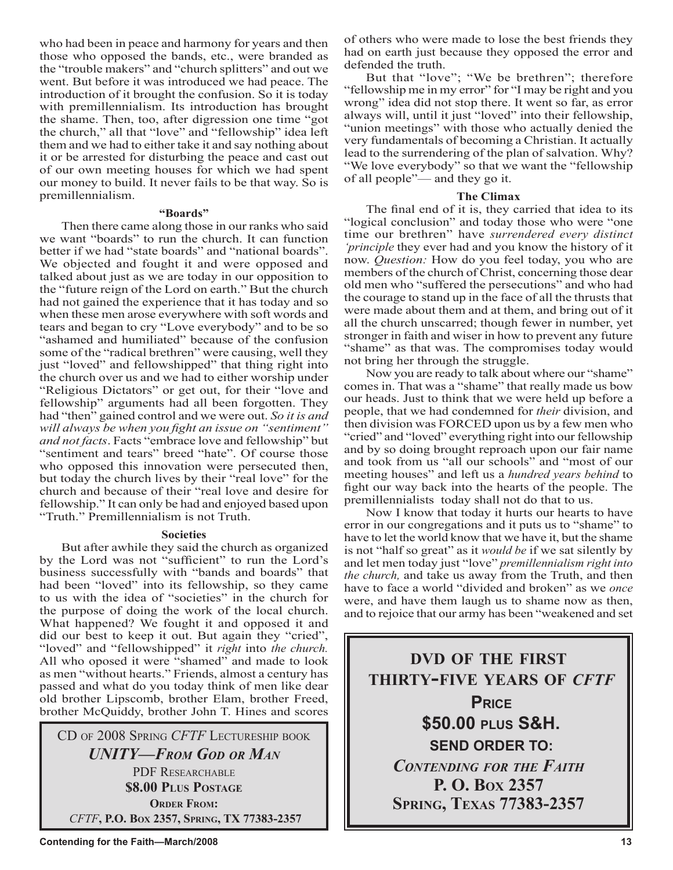who had been in peace and harmony for years and then those who opposed the bands, etc., were branded as the "trouble makers" and "church splitters" and out we went. But before it was introduced we had peace. The introduction of it brought the confusion. So it is today with premillennialism. Its introduction has brought the shame. Then, too, after digression one time "got the church," all that "love" and "fellowship" idea left them and we had to either take it and say nothing about it or be arrested for disturbing the peace and cast out of our own meeting houses for which we had spent our money to build. It never fails to be that way. So is premillennialism.

#### **"Boards"**

Then there came along those in our ranks who said we want "boards" to run the church. It can function better if we had "state boards" and "national boards". We objected and fought it and were opposed and talked about just as we are today in our opposition to the "future reign of the Lord on earth." But the church had not gained the experience that it has today and so when these men arose everywhere with soft words and tears and began to cry "Love everybody" and to be so "ashamed and humiliated" because of the confusion some of the "radical brethren" were causing, well they just "loved" and fellowshipped" that thing right into the church over us and we had to either worship under "Religious Dictators" or get out, for their "love and fellowship" arguments had all been forgotten. They had "then" gained control and we were out. *So it is and will always be when you fight an issue on "sentiment" and not facts*. Facts "embrace love and fellowship" but "sentiment and tears" breed "hate". Of course those who opposed this innovation were persecuted then, but today the church lives by their "real love" for the church and because of their "real love and desire for fellowship." It can only be had and enjoyed based upon "Truth." Premillennialism is not Truth.

#### **Societies**

But after awhile they said the church as organized by the Lord was not "sufficient" to run the Lord's business successfully with "bands and boards" that had been "loved" into its fellowship, so they came to us with the idea of "societies" in the church for the purpose of doing the work of the local church. What happened? We fought it and opposed it and did our best to keep it out. But again they "cried", "loved" and "fellowshipped" it *right* into *the church.*  All who oposed it were "shamed" and made to look as men "without hearts." Friends, almost a century has passed and what do you today think of men like dear old brother Lipscomb, brother Elam, brother Freed, brother McQuiddy, brother John T. Hines and scores

CD OF 2008 SPRING *CFTF* LECTURESHIP BOOK *UNITY—FROM GOD OR MAN* PDF RESEARCHABLE **\$8.00 PLUS POSTAGE ORDER FROM:**  *CFTF***, P.O. BOX 2357, SPRING, TX 77383-2357**

of others who were made to lose the best friends they had on earth just because they opposed the error and defended the truth.

But that "love"; "We be brethren"; therefore "fellowship me in my error" for "I may be right and you wrong" idea did not stop there. It went so far, as error always will, until it just "loved" into their fellowship, "union meetings" with those who actually denied the very fundamentals of becoming a Christian. It actually lead to the surrendering of the plan of salvation. Why? "We love everybody" so that we want the "fellowship" of all people"— and they go it.

#### **The Climax**

The final end of it is, they carried that idea to its "logical conclusion" and today those who were "one time our brethren" have *surrendered every distinct 'principle* they ever had and you know the history of it now. *Question:* How do you feel today, you who are members of the church of Christ, concerning those dear old men who "suffered the persecutions" and who had the courage to stand up in the face of all the thrusts that were made about them and at them, and bring out of it all the church unscarred; though fewer in number, yet stronger in faith and wiser in how to prevent any future "shame" as that was. The compromises today would not bring her through the struggle.

Now you are ready to talk about where our "shame" comes in. That was a "shame" that really made us bow our heads. Just to think that we were held up before a people, that we had condemned for *their* division, and then division was FORCED upon us by a few men who "cried" and "loved" everything right into our fellowship and by so doing brought reproach upon our fair name and took from us "all our schools" and "most of our meeting houses" and left us a *hundred years behind* to fight our way back into the hearts of the people. The premillennialists today shall not do that to us.

Now I know that today it hurts our hearts to have error in our congregations and it puts us to "shame" to have to let the world know that we have it, but the shame is not "half so great" as it *would be* if we sat silently by and let men today just "love" *premillennialism right into the church,* and take us away from the Truth, and then have to face a world "divided and broken" as we *once*  were, and have them laugh us to shame now as then, and to rejoice that our army has been "weakened and set

**DVD OF THE FIRST THIRTY-FIVE YEARS OF** *CFTF* **PRICE \$50.00 PLUS S&H. SEND ORDER TO:** *CONTENDING FOR THE FAITH* **P. O. BOX 2357 SPRING, TEXAS 77383-2357**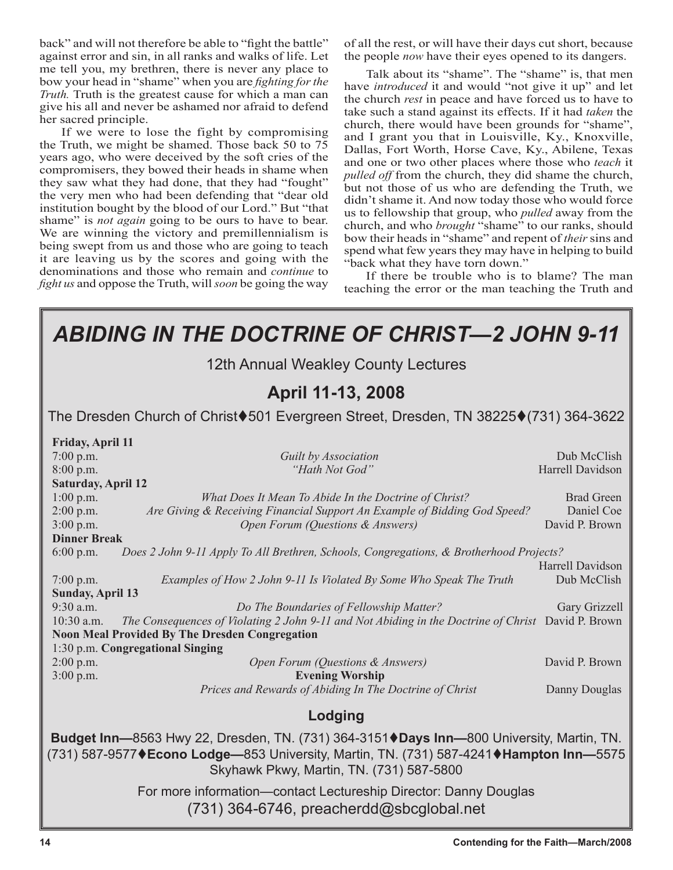back" and will not therefore be able to "fight the battle" against error and sin, in all ranks and walks of life. Let me tell you, my brethren, there is never any place to bow your head in "shame" when you are *fighting for the Truth.* Truth is the greatest cause for which a man can give his all and never be ashamed nor afraid to defend her sacred principle.

If we were to lose the fight by compromising the Truth, we might be shamed. Those back 50 to 75 years ago, who were deceived by the soft cries of the compromisers, they bowed their heads in shame when they saw what they had done, that they had "fought" the very men who had been defending that "dear old institution bought by the blood of our Lord." But "that shame" is *not again* going to be ours to have to bear. We are winning the victory and premillennialism is being swept from us and those who are going to teach it are leaving us by the scores and going with the denominations and those who remain and *continue* to *fight us* and oppose the Truth, will *soon* be going the way of all the rest, or will have their days cut short, because the people *now* have their eyes opened to its dangers.

Talk about its "shame". The "shame" is, that men have *introduced* it and would "not give it up" and let the church *rest* in peace and have forced us to have to take such a stand against its effects. If it had *taken* the church, there would have been grounds for "shame", and I grant you that in Louisville, Ky., Knoxville, Dallas, Fort Worth, Horse Cave, Ky., Abilene, Texas and one or two other places where those who *teach* it pulled off from the church, they did shame the church, but not those of us who are defending the Truth, we didn't shame it. And now today those who would force us to fellowship that group, who *pulled* away from the church, and who *brought* "shame" to our ranks, should bow their heads in "shame" and repent of *their* sins and spend what few years they may have in helping to build "back what they have torn down."

If there be trouble who is to blame? The man teaching the error or the man teaching the Truth and

| <b>ABIDING IN THE DOCTRINE OF CHRIST—2 JOHN 9-11</b>                                                                                                                                                                                                                                     |                                                   |  |
|------------------------------------------------------------------------------------------------------------------------------------------------------------------------------------------------------------------------------------------------------------------------------------------|---------------------------------------------------|--|
| 12th Annual Weakley County Lectures                                                                                                                                                                                                                                                      |                                                   |  |
| April 11-13, 2008                                                                                                                                                                                                                                                                        |                                                   |  |
| The Dresden Church of Christ♦501 Evergreen Street, Dresden, TN 38225♦(731) 364-3622                                                                                                                                                                                                      |                                                   |  |
| Friday, April 11<br>$7:00$ p.m.<br>Guilt by Association                                                                                                                                                                                                                                  | Dub McClish                                       |  |
| "Hath Not God"<br>$8:00$ p.m.<br><b>Saturday, April 12</b>                                                                                                                                                                                                                               | Harrell Davidson                                  |  |
| $1:00$ p.m.<br>What Does It Mean To Abide In the Doctrine of Christ?<br>Are Giving & Receiving Financial Support An Example of Bidding God Speed?<br>$2:00$ p.m.<br>$3:00$ p.m.<br>Open Forum (Questions & Answers)<br><b>Dinner Break</b>                                               | <b>Brad Green</b><br>Daniel Coe<br>David P. Brown |  |
| Does 2 John 9-11 Apply To All Brethren, Schools, Congregations, & Brotherhood Projects?<br>$6:00$ p.m.<br>Harrell Davidson                                                                                                                                                               |                                                   |  |
| $7:00$ p.m.<br>Examples of How 2 John 9-11 Is Violated By Some Who Speak The Truth<br><b>Sunday, April 13</b>                                                                                                                                                                            | Dub McClish                                       |  |
| 9:30 a.m.<br>Do The Boundaries of Fellowship Matter?<br>Gary Grizzell<br>The Consequences of Violating 2 John 9-11 and Not Abiding in the Doctrine of Christ David P. Brown<br>$10:30$ a.m.<br><b>Noon Meal Provided By The Dresden Congregation</b><br>1:30 p.m. Congregational Singing |                                                   |  |
| Open Forum (Questions & Answers)<br>$2:00$ p.m.<br><b>Evening Worship</b><br>3:00 p.m.                                                                                                                                                                                                   | David P. Brown                                    |  |
| Prices and Rewards of Abiding In The Doctrine of Christ                                                                                                                                                                                                                                  | Danny Douglas                                     |  |
| Lodging                                                                                                                                                                                                                                                                                  |                                                   |  |
| Budget Inn-8563 Hwy 22, Dresden, TN. (731) 364-3151 Days Inn-800 University, Martin, TN.<br>(731) 587-9577♦ Econo Lodge-853 University, Martin, TN. (731) 587-4241♦ Hampton Inn-5575<br>Skyhawk Pkwy, Martin, TN. (731) 587-5800                                                         |                                                   |  |
| For more information-contact Lectureship Director: Danny Douglas<br>(731) 364-6746, preacherdd@sbcglobal.net                                                                                                                                                                             |                                                   |  |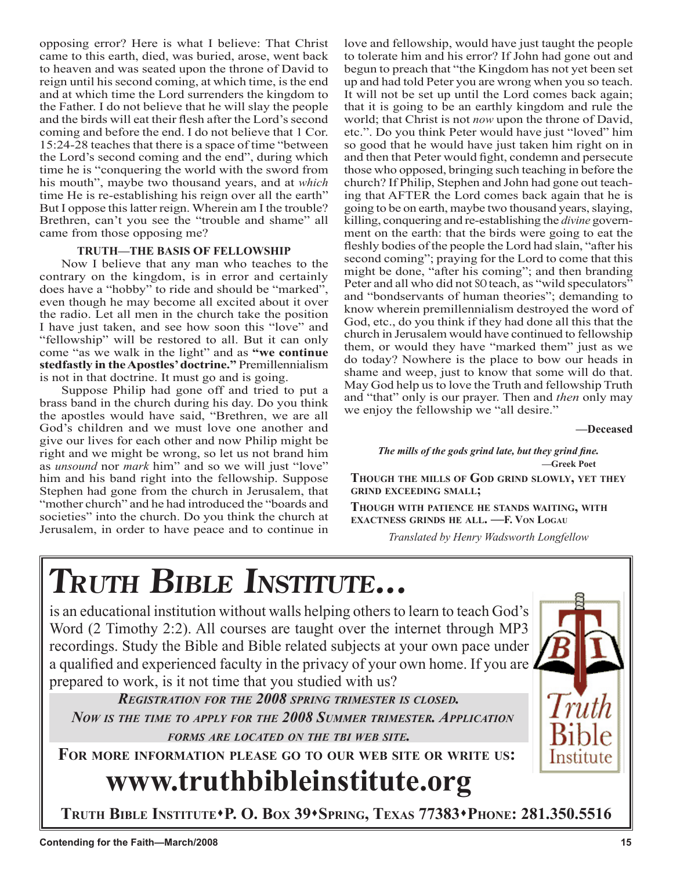opposing error? Here is what I believe: That Christ came to this earth, died, was buried, arose, went back to heaven and was seated upon the throne of David to reign until his second coming, at which time, is the end and at which time the Lord surrenders the kingdom to the Father. I do not believe that he will slay the people and the birds will eat their flesh after the Lord's second coming and before the end. I do not believe that 1 Cor. 15:24-28 teaches that there is a space of time "between the Lord's second coming and the end", during which time he is "conquering the world with the sword from his mouth", maybe two thousand years, and at *which*  time He is re-establishing his reign over all the earth" But I oppose this latter reign. Wherein am I the trouble? Brethren, can't you see the "trouble and shame" all came from those opposing me?

#### **TRUTH—THE BASIS OF FELLOWSHIP**

Now I believe that any man who teaches to the contrary on the kingdom, is in error and certainly does have a "hobby" to ride and should be "marked", even though he may become all excited about it over the radio. Let all men in the church take the position I have just taken, and see how soon this "love" and "fellowship" will be restored to all. But it can only come "as we walk in the light" and as **"we continue stedfastly in the Apostles' doctrine."** Premillennialism is not in that doctrine. It must go and is going.

Suppose Philip had gone off and tried to put a brass band in the church during his day. Do you think the apostles would have said, "Brethren, we are all God's children and we must love one another and give our lives for each other and now Philip might be right and we might be wrong, so let us not brand him as *unsound* nor *mark* him" and so we will just "love" him and his band right into the fellowship. Suppose Stephen had gone from the church in Jerusalem, that "mother church" and he had introduced the "boards and societies" into the church. Do you think the church at Jerusalem, in order to have peace and to continue in

love and fellowship, would have just taught the people to tolerate him and his error? If John had gone out and begun to preach that "the Kingdom has not yet been set up and had told Peter you are wrong when you so teach. It will not be set up until the Lord comes back again; that it is going to be an earthly kingdom and rule the world; that Christ is not *now* upon the throne of David, etc.". Do you think Peter would have just "loved" him so good that he would have just taken him right on in and then that Peter would fight, condemn and persecute those who opposed, bringing such teaching in before the church? If Philip, Stephen and John had gone out teaching that AFTER the Lord comes back again that he is going to be on earth, maybe two thousand years, slaying, killing, conquering and re-establishing the *divine* government on the earth: that the birds were going to eat the fleshly bodies of the people the Lord had slain, "after his second coming"; praying for the Lord to come that this might be done, "after his coming"; and then branding Peter and all who did not SO teach, as "wild speculators" and "bondservants of human theories"; demanding to know wherein premillennialism destroyed the word of God, etc., do you think if they had done all this that the church in Jerusalem would have continued to fellowship them, or would they have "marked them" just as we do today? Nowhere is the place to bow our heads in shame and weep, just to know that some will do that. May God help us to love the Truth and fellowship Truth and "that" only is our prayer. Then and *then* only may we enjoy the fellowship we "all desire."

**—Deceased**

**Paul Vaughn**

#### *The mills of the gods grind late, but they grind fine.*  **—Greek Poet**

 **THOUGH THE MILLS OF GOD GRIND SLOWLY, YET THEY GRIND EXCEEDING SMALL;**

 **THOUGH WITH PATIENCE HE STANDS WAITING, WITH EXACTNESS GRINDS HE ALL. —F. VON LOGAU**

*Translated by Henry Wadsworth Longfellow*

# **TRUTH BIBLE INSTITUTE...**

is an educational institution without walls helping others to learn to teach God's Word (2 Timothy 2:2). All courses are taught over the internet through MP3 recordings. Study the Bible and Bible related subjects at your own pace under a qualified and experienced faculty in the privacy of your own home. If you are prepared to work, is it not time that you studied with us?

*REGISTRATION FOR THE 2008 SPRING TRIMESTER IS CLOSED. NOW IS THE TIME TO APPLY FOR THE 2008 SUMMER TRIMESTER. APPLICATION FORMS ARE LOCATED ON THE TBI WEB SITE.*

**FOR MORE INFORMATION PLEASE GO TO OUR WEB SITE OR WRITE US:**

# **www.truthbibleinstitute.org**

**TRUTH BIBLE INSTITUTEP. O. BOX 39SPRING, TEXAS 77383PHONE: 281.350.5516**

**Terry M. Hightower**

Institute